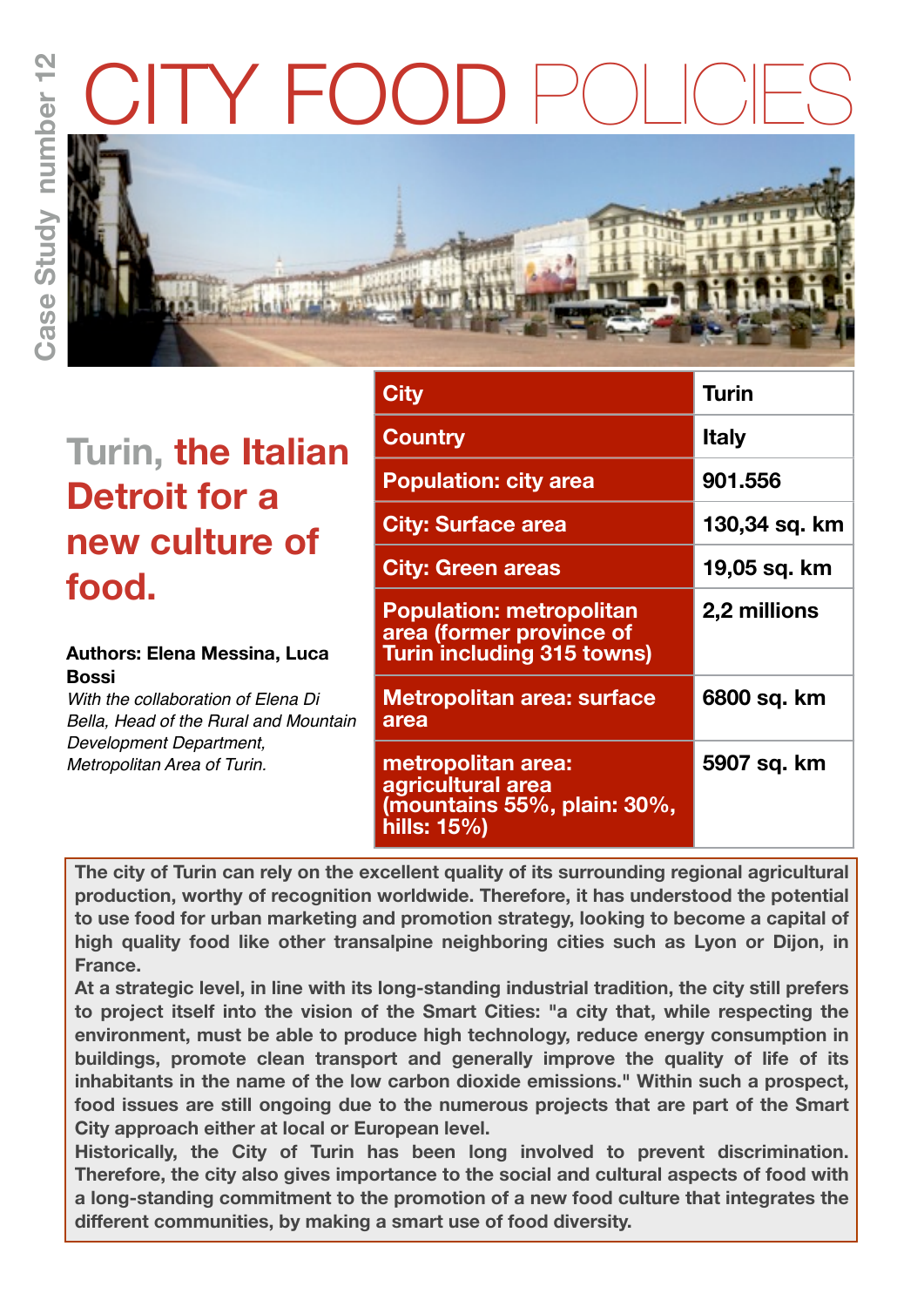# TY FOC





# **Turin, the Italian Detroit for a new culture of food.**

#### **Authors: Elena Messina, Luca Bossi**

*With the collaboration of Elena Di Bella, Head of the Rural and Mountain Development Department, Metropolitan Area of Turin.*

| City                                                                                             | <b>Turin</b>        |
|--------------------------------------------------------------------------------------------------|---------------------|
| <b>Country</b>                                                                                   | <b>Italy</b>        |
| <b>Population: city area</b>                                                                     | 901.556             |
| <b>City: Surface area</b>                                                                        | 130,34 sq. km       |
| <b>City: Green areas</b>                                                                         | 19,05 sq. km        |
| <b>Population: metropolitan</b><br>area (former province of<br><b>Turin including 315 towns)</b> | <b>2,2 millions</b> |
| <b>Metropolitan area: surface</b><br>area                                                        | 6800 sq. km         |
| metropolitan area:<br>agricultural area<br>(mountains 55%, plain: 30%,<br>hills: 15%)            | 5907 sq. km         |

**The city of Turin can rely on the excellent quality of its surrounding regional agricultural production, worthy of recognition worldwide. Therefore, it has understood the potential to use food for urban marketing and promotion strategy, looking to become a capital of high quality food like other transalpine neighboring cities such as Lyon or Dijon, in France.** 

**At a strategic level, in line with its long-standing industrial tradition, the city still prefers to project itself into the vision of the Smart Cities: "a city that, while respecting the environment, must be able to produce high technology, reduce energy consumption in buildings, promote clean transport and generally improve the quality of life of its inhabitants in the name of the low carbon dioxide emissions." Within such a prospect, food issues are still ongoing due to the numerous projects that are part of the Smart City approach either at local or European level.**

**Historically, the City of Turin has been long involved to prevent discrimination. Therefore, the city also gives importance to the social and cultural aspects of food with a long-standing commitment to the promotion of a new food culture that integrates the different communities, by making a smart use of food diversity.**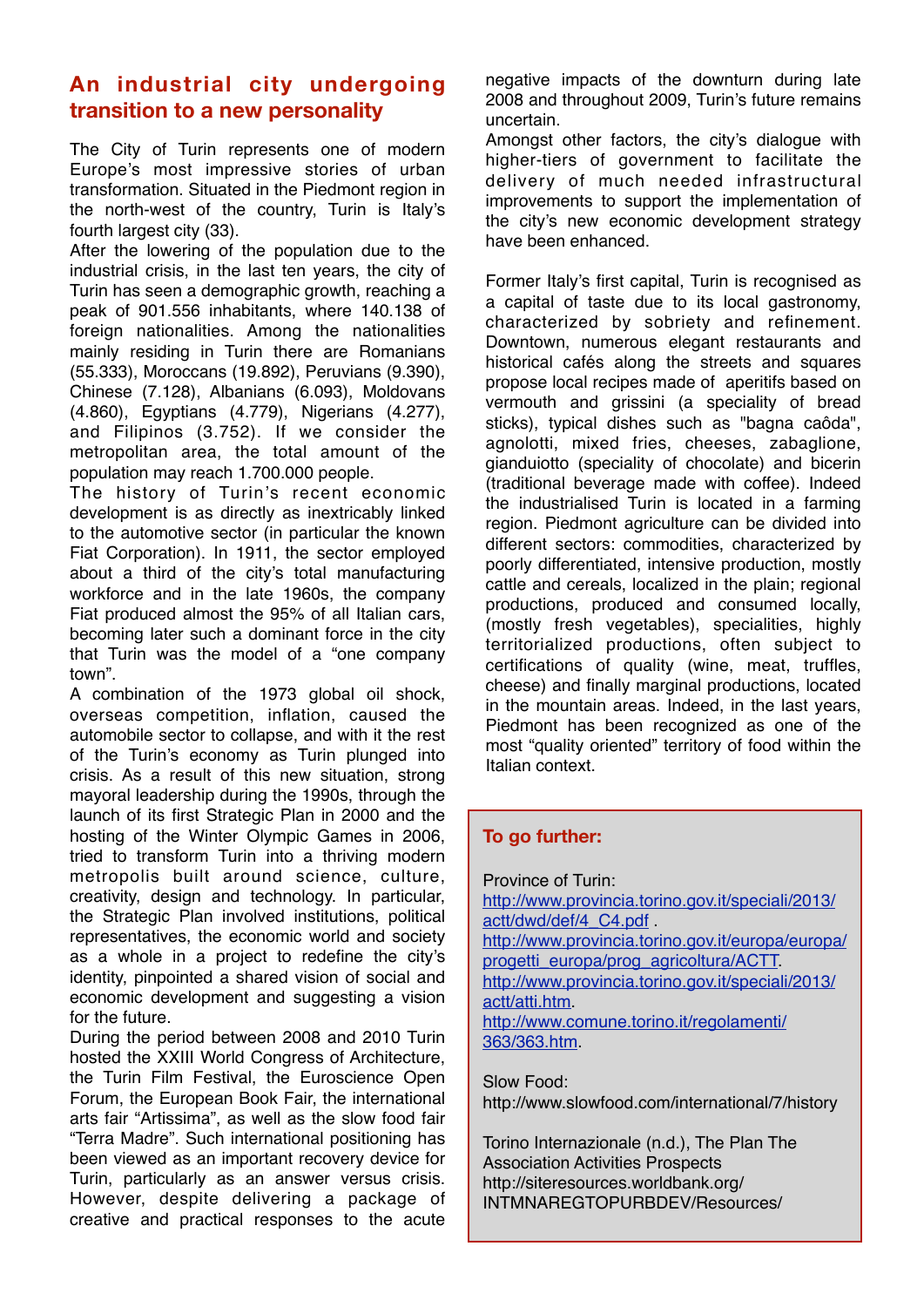## **An industrial city undergoing transition to a new personality**

The City of Turin represents one of modern Europe's most impressive stories of urban transformation. Situated in the Piedmont region in the north-west of the country, Turin is Italy's fourth largest city (33).

After the lowering of the population due to the industrial crisis, in the last ten years, the city of Turin has seen a demographic growth, reaching a peak of 901.556 inhabitants, where 140.138 of foreign nationalities. Among the nationalities mainly residing in Turin there are Romanians (55.333), Moroccans (19.892), Peruvians (9.390), Chinese (7.128), Albanians (6.093), Moldovans (4.860), Egyptians (4.779), Nigerians (4.277), and Filipinos (3.752). If we consider the metropolitan area, the total amount of the population may reach 1.700.000 people.

The history of Turin's recent economic development is as directly as inextricably linked to the automotive sector (in particular the known Fiat Corporation). In 1911, the sector employed about a third of the city's total manufacturing workforce and in the late 1960s, the company Fiat produced almost the 95% of all Italian cars, becoming later such a dominant force in the city that Turin was the model of a "one company town".

A combination of the 1973 global oil shock, overseas competition, inflation, caused the automobile sector to collapse, and with it the rest of the Turin's economy as Turin plunged into crisis. As a result of this new situation, strong mayoral leadership during the 1990s, through the launch of its first Strategic Plan in 2000 and the hosting of the Winter Olympic Games in 2006, tried to transform Turin into a thriving modern metropolis built around science, culture, creativity, design and technology. In particular, the Strategic Plan involved institutions, political representatives, the economic world and society as a whole in a project to redefine the city's identity, pinpointed a shared vision of social and economic development and suggesting a vision for the future.

During the period between 2008 and 2010 Turin hosted the XXIII World Congress of Architecture, the Turin Film Festival, the Euroscience Open Forum, the European Book Fair, the international arts fair "Artissima", as well as the slow food fair "Terra Madre". Such international positioning has been viewed as an important recovery device for Turin, particularly as an answer versus crisis. However, despite delivering a package of creative and practical responses to the acute

negative impacts of the downturn during late 2008 and throughout 2009, Turin's future remains uncertain.

Amongst other factors, the city's dialogue with higher-tiers of government to facilitate the delivery of much needed infrastructural improvements to support the implementation of the city's new economic development strategy have been enhanced.

Former Italy's first capital, Turin is recognised as a capital of taste due to its local gastronomy, characterized by sobriety and refinement. Downtown, numerous elegant restaurants and historical cafés along the streets and squares propose local recipes made of aperitifs based on vermouth and grissini (a speciality of bread sticks), typical dishes such as "bagna caôda", agnolotti, mixed fries, cheeses, zabaglione, gianduiotto (speciality of chocolate) and bicerin (traditional beverage made with coffee). Indeed the industrialised Turin is located in a farming region. Piedmont agriculture can be divided into different sectors: commodities, characterized by poorly differentiated, intensive production, mostly cattle and cereals, localized in the plain; regional productions, produced and consumed locally, (mostly fresh vegetables), specialities, highly territorialized productions, often subject to certifications of quality (wine, meat, truffles, cheese) and finally marginal productions, located in the mountain areas. Indeed, in the last years, Piedmont has been recognized as one of the most "quality oriented" territory of food within the Italian context.

#### **To go further:**

Province of Turin: [http://www.provincia.torino.gov.it/speciali/2013/](http://www.provincia.torino.gov.it/speciali/2013/actt/dwd/def/4_C4.pdf) [actt/dwd/def/4\\_C4.pdf](http://www.provincia.torino.gov.it/speciali/2013/actt/dwd/def/4_C4.pdf) . [http://www.provincia.torino.gov.it/europa/europa/](http://www.provincia.torino.gov.it/europa/europa/progetti_europa/prog_agricoltura/ACTT) [progetti\\_europa/prog\\_agricoltura/ACTT.](http://www.provincia.torino.gov.it/europa/europa/progetti_europa/prog_agricoltura/ACTT) [http://www.provincia.torino.gov.it/speciali/2013/](http://www.provincia.torino.gov.it/speciali/2013/actt/atti.htm) [actt/atti.htm.](http://www.provincia.torino.gov.it/speciali/2013/actt/atti.htm) [http://www.comune.torino.it/regolamenti/](http://www.comune.torino.it/regolamenti/363/363.htm) [363/363.htm.](http://www.comune.torino.it/regolamenti/363/363.htm)

Slow Food: <http://www.slowfood.com/international/7/history>

Torino Internazionale (n.d.), The Plan The Association Activities Prospects [http://siteresources.worldbank.org/](http://siteresources.worldbank.org/INTMNAREGTOPURBDEV/Resources/Turin_March2006.pdf) [INTMNAREGTOPURBDEV/Resources/](http://siteresources.worldbank.org/INTMNAREGTOPURBDEV/Resources/Turin_March2006.pdf)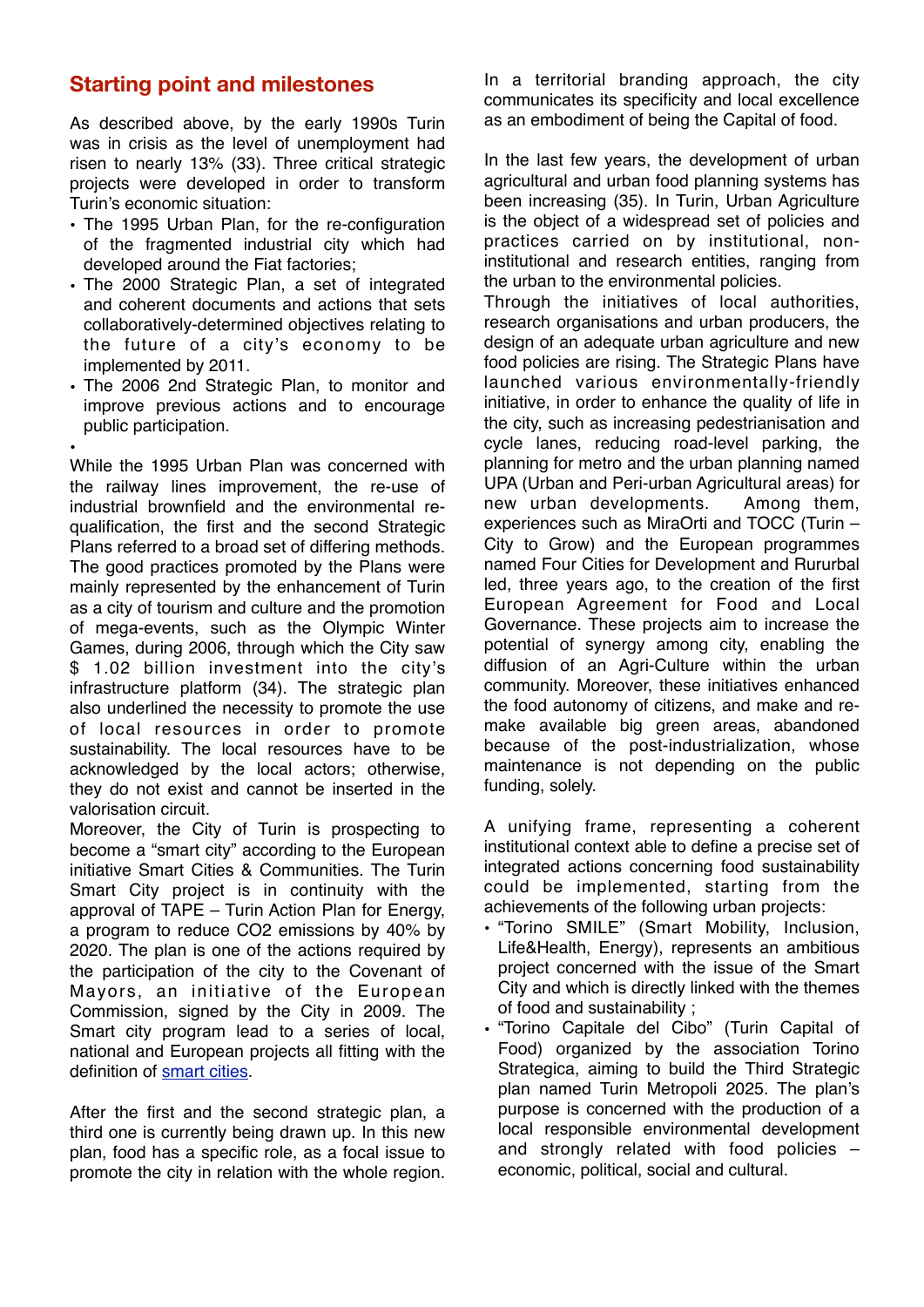### **Starting point and milestones**

As described above, by the early 1990s Turin was in crisis as the level of unemployment had risen to nearly 13% (33). Three critical strategic projects were developed in order to transform Turin's economic situation:

- The 1995 Urban Plan, for the re-configuration of the fragmented industrial city which had developed around the Fiat factories;
- The 2000 Strategic Plan, a set of integrated and coherent documents and actions that sets collaboratively-determined objectives relating to the future of a city's economy to be implemented by 2011.
- The 2006 2nd Strategic Plan, to monitor and improve previous actions and to encourage public participation.

• While the 1995 Urban Plan was concerned with the railway lines improvement, the re-use of industrial brownfield and the environmental requalification, the first and the second Strategic Plans referred to a broad set of differing methods. The good practices promoted by the Plans were mainly represented by the enhancement of Turin as a city of tourism and culture and the promotion of mega-events, such as the Olympic Winter Games, during 2006, through which the City saw \$ 1.02 billion investment into the city's infrastructure platform (34). The strategic plan also underlined the necessity to promote the use of local resources in order to promote sustainability. The local resources have to be acknowledged by the local actors; otherwise, they do not exist and cannot be inserted in the valorisation circuit.

Moreover, the City of Turin is prospecting to become a "smart city" according to the European initiative Smart Cities & Communities. The Turin Smart City project is in continuity with the approval of TAPE – Turin Action Plan for Energy, a program to reduce CO2 emissions by 40% by 2020. The plan is one of the actions required by the participation of the city to the Covenant of Mayors, an initiative of the European Commission, signed by the City in 2009. The Smart city program lead to a series of local, national and European projects all fitting with the definition of [smart cities.](http://www.torinosmartcity.it/english-version/)

After the first and the second strategic plan, a third one is currently being drawn up. In this new plan, food has a specific role, as a focal issue to promote the city in relation with the whole region.

In a territorial branding approach, the city communicates its specificity and local excellence as an embodiment of being the Capital of food.

In the last few years, the development of urban agricultural and urban food planning systems has been increasing (35). In Turin, Urban Agriculture is the object of a widespread set of policies and practices carried on by institutional, noninstitutional and research entities, ranging from the urban to the environmental policies.

Through the initiatives of local authorities, research organisations and urban producers, the design of an adequate urban agriculture and new food policies are rising. The Strategic Plans have launched various environmentally-friendly initiative, in order to enhance the quality of life in the city, such as increasing pedestrianisation and cycle lanes, reducing road-level parking, the planning for metro and the urban planning named UPA (Urban and Peri-urban Agricultural areas) for new urban developments. Among them, experiences such as MiraOrti and TOCC (Turin – City to Grow) and the European programmes named Four Cities for Development and Rururbal led, three years ago, to the creation of the first European Agreement for Food and Local Governance. These projects aim to increase the potential of synergy among city, enabling the diffusion of an Agri-Culture within the urban community. Moreover, these initiatives enhanced the food autonomy of citizens, and make and remake available big green areas, abandoned because of the post-industrialization, whose maintenance is not depending on the public funding, solely.

A unifying frame, representing a coherent institutional context able to define a precise set of integrated actions concerning food sustainability could be implemented, starting from the achievements of the following urban projects:

- "Torino SMILE" (Smart Mobility, Inclusion, Life&Health, Energy), represents an ambitious project concerned with the issue of the Smart City and which is directly linked with the themes of food and sustainability ;
- "Torino Capitale del Cibo" (Turin Capital of Food) organized by the association Torino Strategica, aiming to build the Third Strategic plan named Turin Metropoli 2025. The plan's purpose is concerned with the production of a local responsible environmental development and strongly related with food policies – economic, political, social and cultural.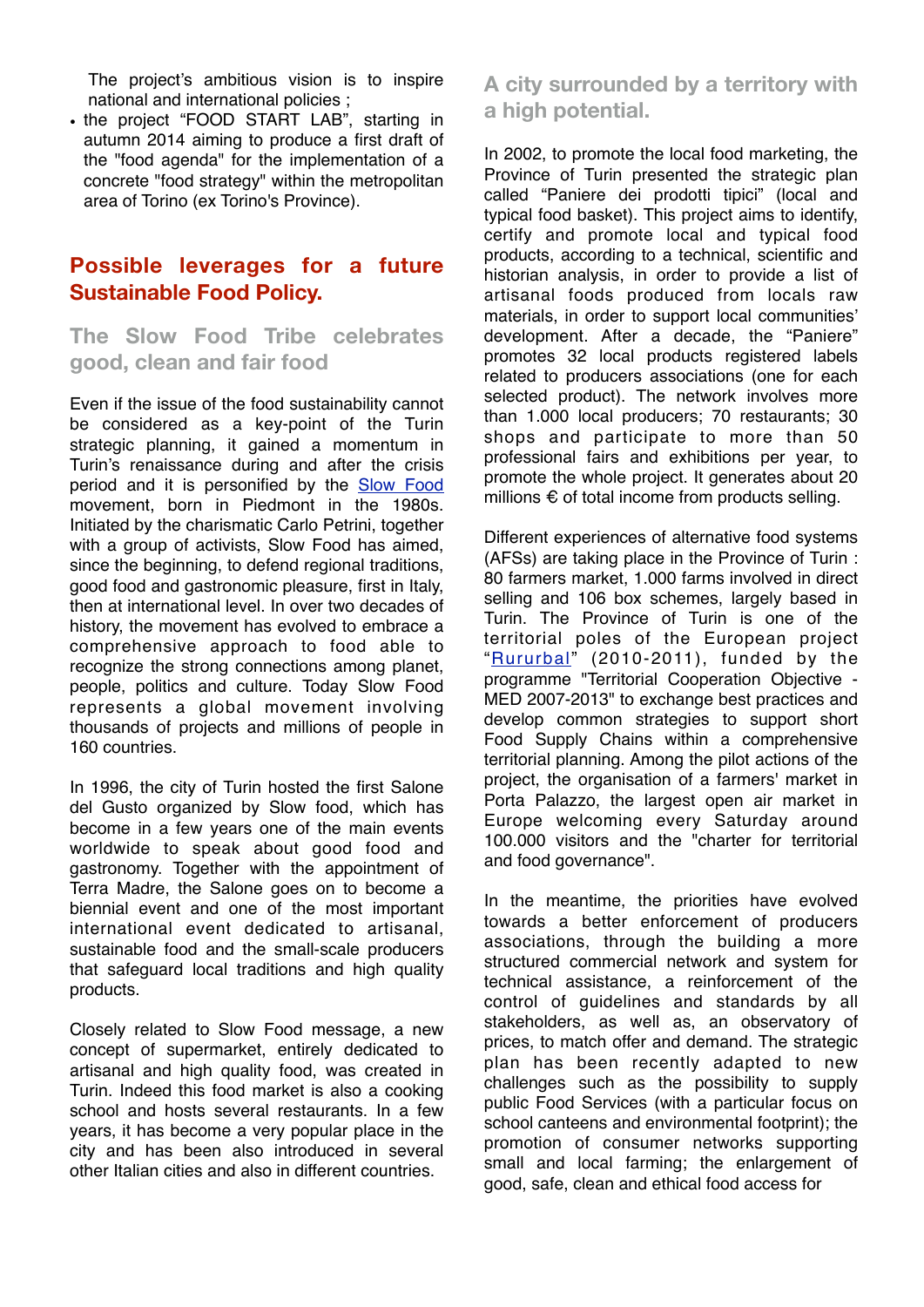The project's ambitious vision is to inspire national and international policies ;

• the project "FOOD START LAB", starting in autumn 2014 aiming to produce a first draft of the "food agenda" for the implementation of a concrete "food strategy" within the metropolitan area of Torino (ex Torino's Province).

#### **Possible leverages for a future Sustainable Food Policy.**

**The Slow Food Tribe celebrates good, clean and fair food** 

Even if the issue of the food sustainability cannot be considered as a key-point of the Turin strategic planning, it gained a momentum in Turin's renaissance during and after the crisis period and it is personified by the [Slow Food](http://www.slowfood.com) movement, born in Piedmont in the 1980s. Initiated by the charismatic Carlo Petrini, together with a group of activists, Slow Food has aimed, since the beginning, to defend regional traditions, good food and gastronomic pleasure, first in Italy, then at international level. In over two decades of history, the movement has evolved to embrace a comprehensive approach to food able to recognize the strong connections among planet, people, politics and culture. Today Slow Food represents a global movement involving thousands of projects and millions of people in 160 countries.

In 1996, the city of Turin hosted the first Salone del Gusto organized by Slow food, which has become in a few years one of the main events worldwide to speak about good food and gastronomy. Together with the appointment of Terra Madre, the Salone goes on to become a biennial event and one of the most important international event dedicated to artisanal, sustainable food and the small-scale producers that safeguard local traditions and high quality products.

Closely related to Slow Food message, a new concept of supermarket, entirely dedicated to artisanal and high quality food, was created in Turin. Indeed this food market is also a cooking school and hosts several restaurants. In a few years, it has become a very popular place in the city and has been also introduced in several other Italian cities and also in different countries.

**A city surrounded by a territory with a high potential.** 

In 2002, to promote the local food marketing, the Province of Turin presented the strategic plan called "Paniere dei prodotti tipici" (local and typical food basket). This project aims to identify, certify and promote local and typical food products, according to a technical, scientific and historian analysis, in order to provide a list of artisanal foods produced from locals raw materials, in order to support local communities' development. After a decade, the "Paniere" promotes 32 local products registered labels related to producers associations (one for each selected product). The network involves more than 1.000 local producers; 70 restaurants; 30 shops and participate to more than 50 professional fairs and exhibitions per year, to promote the whole project. It generates about 20 millions € of total income from products selling.

Different experiences of alternative food systems (AFSs) are taking place in the Province of Turin : 80 farmers market, 1.000 farms involved in direct selling and 106 box schemes, largely based in Turin. The Province of Turin is one of the territorial poles of the European project "[Rururbal"](http://www.rururbal.eu) (2010-2011), funded by the programme "Territorial Cooperation Objective -MED 2007-2013" to exchange best practices and develop common strategies to support short Food Supply Chains within a comprehensive territorial planning. Among the pilot actions of the project, the organisation of a farmers' market in Porta Palazzo, the largest open air market in Europe welcoming every Saturday around 100.000 visitors and the "charter for territorial and food governance".

In the meantime, the priorities have evolved towards a better enforcement of producers associations, through the building a more structured commercial network and system for technical assistance, a reinforcement of the control of guidelines and standards by all stakeholders, as well as, an observatory of prices, to match offer and demand. The strategic plan has been recently adapted to new challenges such as the possibility to supply public Food Services (with a particular focus on school canteens and environmental footprint); the promotion of consumer networks supporting small and local farming; the enlargement of good, safe, clean and ethical food access for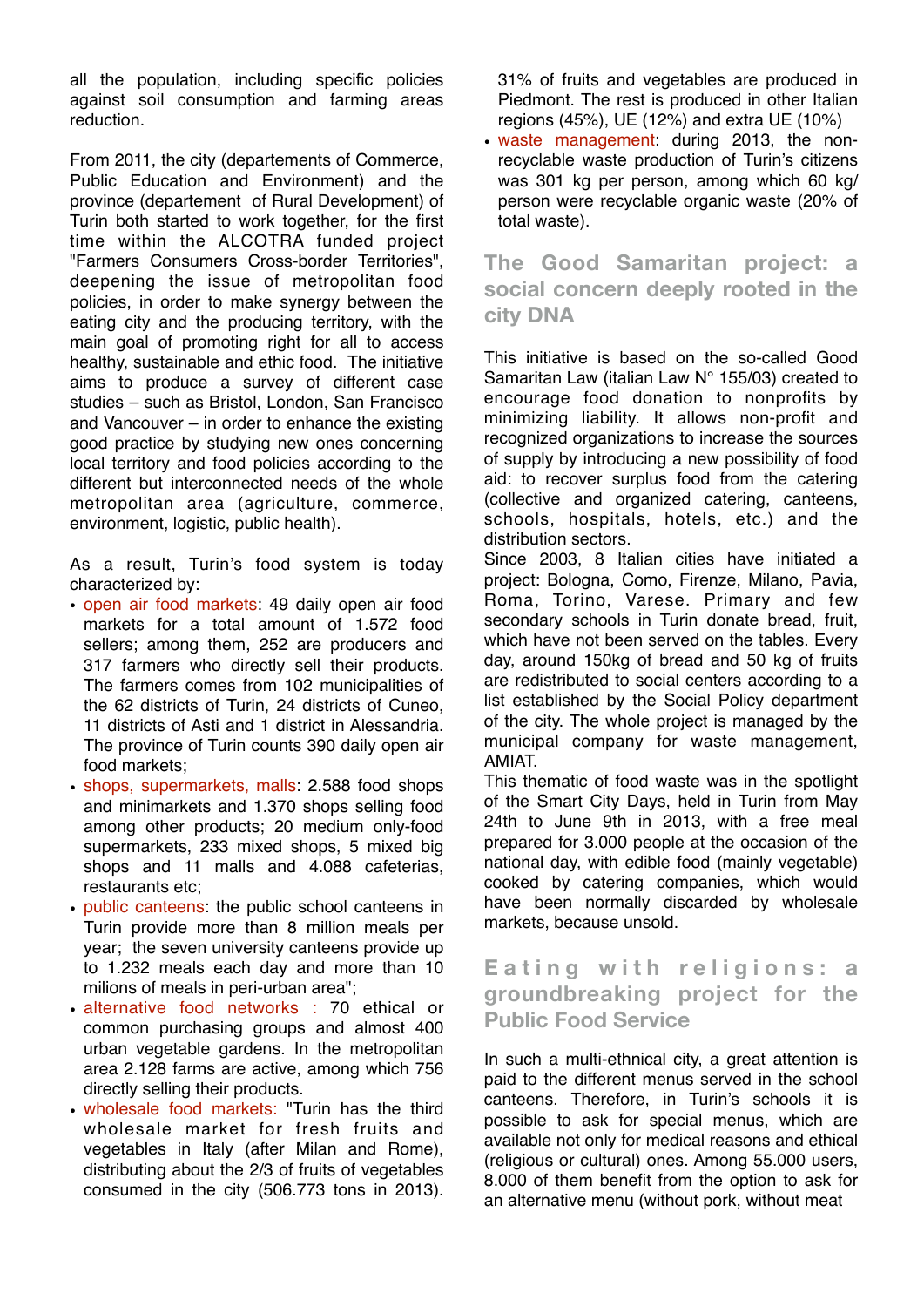all the population, including specific policies against soil consumption and farming areas reduction.

From 2011, the city (departements of Commerce, Public Education and Environment) and the province (departement of Rural Development) of Turin both started to work together, for the first time within the ALCOTRA funded project "Farmers Consumers Cross-border Territories", deepening the issue of metropolitan food policies, in order to make synergy between the eating city and the producing territory, with the main goal of promoting right for all to access healthy, sustainable and ethic food. The initiative aims to produce a survey of different case studies – such as Bristol, London, San Francisco and Vancouver – in order to enhance the existing good practice by studying new ones concerning local territory and food policies according to the different but interconnected needs of the whole metropolitan area (agriculture, commerce, environment, logistic, public health).

As a result, Turin's food system is today characterized by:

- open air food markets: 49 daily open air food markets for a total amount of 1.572 food sellers; among them, 252 are producers and 317 farmers who directly sell their products. The farmers comes from 102 municipalities of the 62 districts of Turin, 24 districts of Cuneo, 11 districts of Asti and 1 district in Alessandria. The province of Turin counts 390 daily open air food markets;
- shops, supermarkets, malls: 2.588 food shops and minimarkets and 1.370 shops selling food among other products; 20 medium only-food supermarkets, 233 mixed shops, 5 mixed big shops and 11 malls and 4.088 cafeterias, restaurants etc;
- public canteens: the public school canteens in Turin provide more than 8 million meals per year; the seven university canteens provide up to 1.232 meals each day and more than 10 milions of meals in peri-urban area";
- alternative food networks : 70 ethical or common purchasing groups and almost 400 urban vegetable gardens. In the metropolitan area 2.128 farms are active, among which 756 directly selling their products.
- wholesale food markets: "Turin has the third wholesale market for fresh fruits and vegetables in Italy (after Milan and Rome), distributing about the 2/3 of fruits of vegetables consumed in the city (506.773 tons in 2013).

31% of fruits and vegetables are produced in Piedmont. The rest is produced in other Italian regions (45%), UE (12%) and extra UE (10%)

• waste management: during 2013, the nonrecyclable waste production of Turin's citizens was 301 kg per person, among which 60 kg/ person were recyclable organic waste (20% of total waste).

# **The Good Samaritan project: a social concern deeply rooted in the city DNA**

This initiative is based on the so-called Good Samaritan Law (italian Law N° 155/03) created to encourage food donation to nonprofits by minimizing liability. It allows non-profit and recognized organizations to increase the sources of supply by introducing a new possibility of food aid: to recover surplus food from the catering (collective and organized catering, canteens, schools, hospitals, hotels, etc.) and the distribution sectors.

Since 2003, 8 Italian cities have initiated a project: Bologna, Como, Firenze, Milano, Pavia, Roma, Torino, Varese. Primary and few secondary schools in Turin donate bread, fruit, which have not been served on the tables. Every day, around 150kg of bread and 50 kg of fruits are redistributed to social centers according to a list established by the Social Policy department of the city. The whole project is managed by the municipal company for waste management, AMIAT.

This thematic of food waste was in the spotlight of the Smart City Days, held in Turin from May 24th to June 9th in 2013, with a free meal prepared for 3.000 people at the occasion of the national day, with edible food (mainly vegetable) cooked by catering companies, which would have been normally discarded by wholesale markets, because unsold.

### **Eating with religions: a groundbreaking project for the Public Food Service**

In such a multi-ethnical city, a great attention is paid to the different menus served in the school canteens. Therefore, in Turin's schools it is possible to ask for special menus, which are available not only for medical reasons and ethical (religious or cultural) ones. Among 55.000 users, 8.000 of them benefit from the option to ask for an alternative menu (without pork, without meat